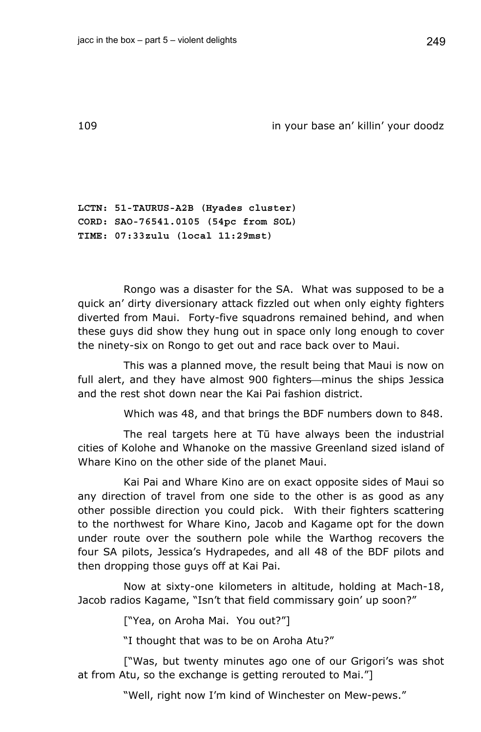109 in your base an' killin' your doodz

**LCTN: 51-TAURUS-A2B (Hyades cluster) CORD: SAO-76541.0105 (54pc from SOL) TIME: 07:33zulu (local 11:29mst)** 

Rongo was a disaster for the SA. What was supposed to be a quick an' dirty diversionary attack fizzled out when only eighty fighters diverted from Maui. Forty-five squadrons remained behind, and when these guys did show they hung out in space only long enough to cover the ninety-six on Rongo to get out and race back over to Maui.

This was a planned move, the result being that Maui is now on full alert, and they have almost 900 fighters—minus the ships Jessica and the rest shot down near the Kai Pai fashion district.

Which was 48, and that brings the BDF numbers down to 848.

The real targets here at Tū have always been the industrial cities of Kolohe and Whanoke on the massive Greenland sized island of Whare Kino on the other side of the planet Maui.

Kai Pai and Whare Kino are on exact opposite sides of Maui so any direction of travel from one side to the other is as good as any other possible direction you could pick. With their fighters scattering to the northwest for Whare Kino, Jacob and Kagame opt for the down under route over the southern pole while the Warthog recovers the four SA pilots, Jessica's Hydrapedes, and all 48 of the BDF pilots and then dropping those guys off at Kai Pai.

Now at sixty-one kilometers in altitude, holding at Mach-18, Jacob radios Kagame, "Isn't that field commissary goin' up soon?"

["Yea, on Aroha Mai. You out?"]

"I thought that was to be on Aroha Atu?"

["Was, but twenty minutes ago one of our Grigori's was shot at from Atu, so the exchange is getting rerouted to Mai."]

"Well, right now I'm kind of Winchester on Mew-pews."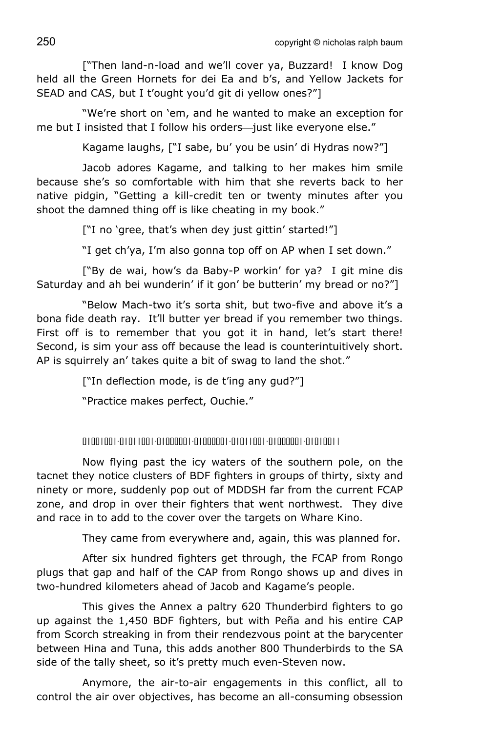["Then land-n-load and we'll cover ya, Buzzard! I know Dog held all the Green Hornets for dei Ea and b's, and Yellow Jackets for SEAD and CAS, but I t'ought you'd git di yellow ones?"]

"We're short on 'em, and he wanted to make an exception for me but I insisted that I follow his orders-just like everyone else."

Kagame laughs, ["I sabe, bu' you be usin' di Hydras now?"]

Jacob adores Kagame, and talking to her makes him smile because she's so comfortable with him that she reverts back to her native pidgin, "Getting a kill-credit ten or twenty minutes after you shoot the damned thing off is like cheating in my book."

["I no 'gree, that's when dey just gittin' started!"]

"I get ch'ya, I'm also gonna top off on AP when I set down."

["By de wai, how's da Baby-P workin' for ya? I git mine dis Saturday and ah bei wunderin' if it gon' be butterin' my bread or no?"]

"Below Mach-two it's sorta shit, but two-five and above it's a bona fide death ray. It'll butter yer bread if you remember two things. First off is to remember that you got it in hand, let's start there! Second, is sim your ass off because the lead is counterintuitively short. AP is squirrely an' takes quite a bit of swag to land the shot."

["In deflection mode, is de t'ing any gud?"]

"Practice makes perfect, Ouchie."

01001001-01011001-01000001-01000001-01011001-01000001-01010011

Now flying past the icy waters of the southern pole, on the tacnet they notice clusters of BDF fighters in groups of thirty, sixty and ninety or more, suddenly pop out of MDDSH far from the current FCAP zone, and drop in over their fighters that went northwest. They dive and race in to add to the cover over the targets on Whare Kino.

They came from everywhere and, again, this was planned for.

After six hundred fighters get through, the FCAP from Rongo plugs that gap and half of the CAP from Rongo shows up and dives in two-hundred kilometers ahead of Jacob and Kagame's people.

This gives the Annex a paltry 620 Thunderbird fighters to go up against the 1,450 BDF fighters, but with Peña and his entire CAP from Scorch streaking in from their rendezvous point at the barycenter between Hina and Tuna, this adds another 800 Thunderbirds to the SA side of the tally sheet, so it's pretty much even-Steven now.

Anymore, the air-to-air engagements in this conflict, all to control the air over objectives, has become an all-consuming obsession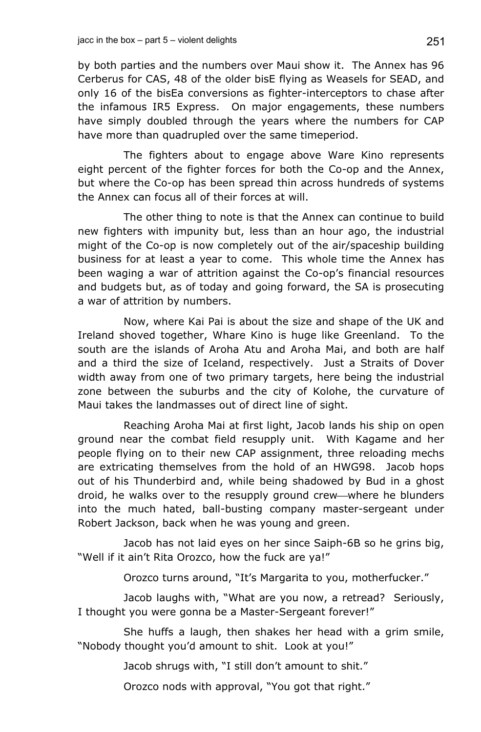by both parties and the numbers over Maui show it. The Annex has 96 Cerberus for CAS, 48 of the older bisE flying as Weasels for SEAD, and only 16 of the bisEa conversions as fighter-interceptors to chase after the infamous IR5 Express. On major engagements, these numbers have simply doubled through the years where the numbers for CAP have more than quadrupled over the same timeperiod.

The fighters about to engage above Ware Kino represents eight percent of the fighter forces for both the Co-op and the Annex, but where the Co-op has been spread thin across hundreds of systems the Annex can focus all of their forces at will.

The other thing to note is that the Annex can continue to build new fighters with impunity but, less than an hour ago, the industrial might of the Co-op is now completely out of the air/spaceship building business for at least a year to come. This whole time the Annex has been waging a war of attrition against the Co-op's financial resources and budgets but, as of today and going forward, the SA is prosecuting a war of attrition by numbers.

Now, where Kai Pai is about the size and shape of the UK and Ireland shoved together, Whare Kino is huge like Greenland. To the south are the islands of Aroha Atu and Aroha Mai, and both are half and a third the size of Iceland, respectively. Just a Straits of Dover width away from one of two primary targets, here being the industrial zone between the suburbs and the city of Kolohe, the curvature of Maui takes the landmasses out of direct line of sight.

Reaching Aroha Mai at first light, Jacob lands his ship on open ground near the combat field resupply unit. With Kagame and her people flying on to their new CAP assignment, three reloading mechs are extricating themselves from the hold of an HWG98. Jacob hops out of his Thunderbird and, while being shadowed by Bud in a ghost droid, he walks over to the resupply ground crew—where he blunders into the much hated, ball-busting company master-sergeant under Robert Jackson, back when he was young and green.

Jacob has not laid eyes on her since Saiph-6B so he grins big, "Well if it ain't Rita Orozco, how the fuck are ya!"

Orozco turns around, "It's Margarita to you, motherfucker."

Jacob laughs with, "What are you now, a retread? Seriously, I thought you were gonna be a Master-Sergeant forever!"

She huffs a laugh, then shakes her head with a grim smile, "Nobody thought you'd amount to shit. Look at you!"

Jacob shrugs with, "I still don't amount to shit."

Orozco nods with approval, "You got that right."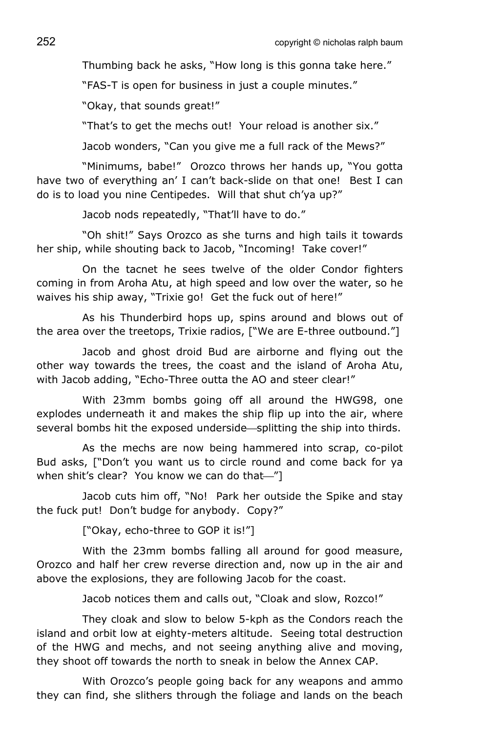Thumbing back he asks, "How long is this gonna take here."

"FAS-T is open for business in just a couple minutes."

"Okay, that sounds great!"

"That's to get the mechs out! Your reload is another six."

Jacob wonders, "Can you give me a full rack of the Mews?"

"Minimums, babe!" Orozco throws her hands up, "You gotta have two of everything an' I can't back-slide on that one! Best I can do is to load you nine Centipedes. Will that shut ch'ya up?"

Jacob nods repeatedly, "That'll have to do."

"Oh shit!" Says Orozco as she turns and high tails it towards her ship, while shouting back to Jacob, "Incoming! Take cover!"

On the tacnet he sees twelve of the older Condor fighters coming in from Aroha Atu, at high speed and low over the water, so he waives his ship away, "Trixie go! Get the fuck out of here!"

As his Thunderbird hops up, spins around and blows out of the area over the treetops, Trixie radios, ["We are E-three outbound."]

Jacob and ghost droid Bud are airborne and flying out the other way towards the trees, the coast and the island of Aroha Atu, with Jacob adding, "Echo-Three outta the AO and steer clear!"

With 23mm bombs going off all around the HWG98, one explodes underneath it and makes the ship flip up into the air, where several bombs hit the exposed underside—splitting the ship into thirds.

As the mechs are now being hammered into scrap, co-pilot Bud asks, ["Don't you want us to circle round and come back for ya when shit's clear? You know we can do that-'']

Jacob cuts him off, "No! Park her outside the Spike and stay the fuck put! Don't budge for anybody. Copy?"

["Okay, echo-three to GOP it is!"]

With the 23mm bombs falling all around for good measure, Orozco and half her crew reverse direction and, now up in the air and above the explosions, they are following Jacob for the coast.

Jacob notices them and calls out, "Cloak and slow, Rozco!"

They cloak and slow to below 5-kph as the Condors reach the island and orbit low at eighty-meters altitude. Seeing total destruction of the HWG and mechs, and not seeing anything alive and moving, they shoot off towards the north to sneak in below the Annex CAP.

With Orozco's people going back for any weapons and ammo they can find, she slithers through the foliage and lands on the beach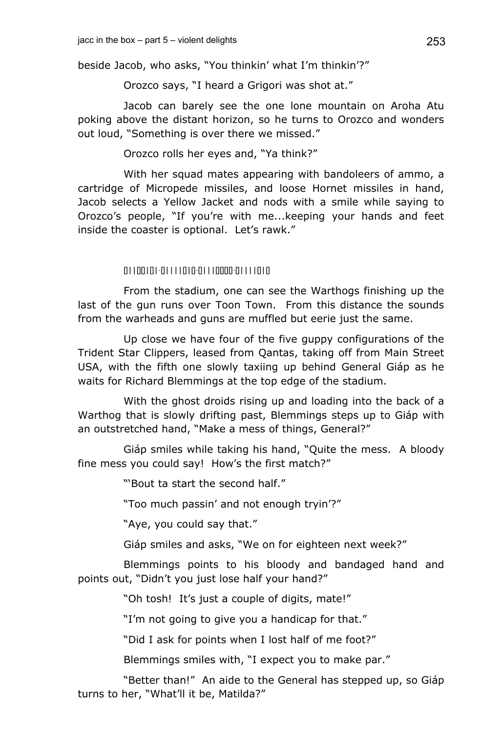beside Jacob, who asks, "You thinkin' what I'm thinkin'?"

Orozco says, "I heard a Grigori was shot at."

Jacob can barely see the one lone mountain on Aroha Atu poking above the distant horizon, so he turns to Orozco and wonders out loud, "Something is over there we missed."

Orozco rolls her eyes and, "Ya think?"

With her squad mates appearing with bandoleers of ammo, a cartridge of Micropede missiles, and loose Hornet missiles in hand, Jacob selects a Yellow Jacket and nods with a smile while saying to Orozco's people, "If you're with me...keeping your hands and feet inside the coaster is optional. Let's rawk."

# 01100101-01111010-01110000-01111010

From the stadium, one can see the Warthogs finishing up the last of the gun runs over Toon Town. From this distance the sounds from the warheads and guns are muffled but eerie just the same.

Up close we have four of the five guppy configurations of the Trident Star Clippers, leased from Qantas, taking off from Main Street USA, with the fifth one slowly taxiing up behind General Giáp as he waits for Richard Blemmings at the top edge of the stadium.

With the ghost droids rising up and loading into the back of a Warthog that is slowly drifting past, Blemmings steps up to Giáp with an outstretched hand, "Make a mess of things, General?"

Giáp smiles while taking his hand, "Quite the mess. A bloody fine mess you could say! How's the first match?"

"'Bout ta start the second half."

"Too much passin' and not enough tryin'?"

"Aye, you could say that."

Giáp smiles and asks, "We on for eighteen next week?"

Blemmings points to his bloody and bandaged hand and points out, "Didn't you just lose half your hand?"

"Oh tosh! It's just a couple of digits, mate!"

"I'm not going to give you a handicap for that."

"Did I ask for points when I lost half of me foot?"

Blemmings smiles with, "I expect you to make par."

"Better than!" An aide to the General has stepped up, so Giáp turns to her, "What'll it be, Matilda?"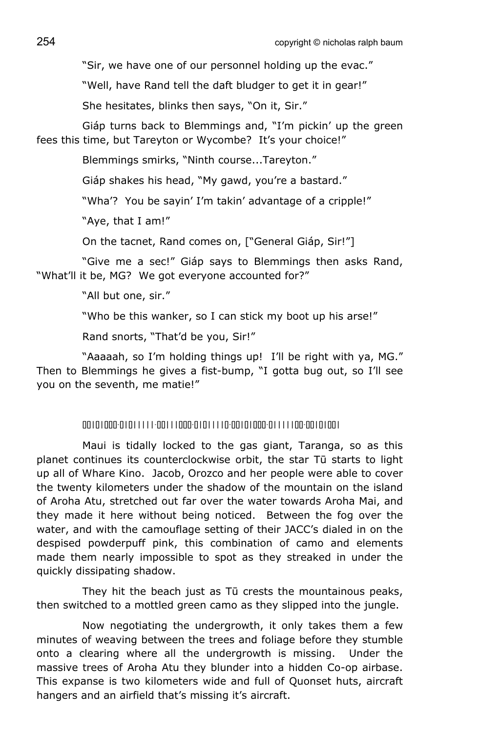"Sir, we have one of our personnel holding up the evac."

"Well, have Rand tell the daft bludger to get it in gear!"

She hesitates, blinks then says, "On it, Sir."

Giáp turns back to Blemmings and, "I'm pickin' up the green fees this time, but Tareyton or Wycombe? It's your choice!"

Blemmings smirks, "Ninth course...Tareyton."

Giáp shakes his head, "My gawd, you're a bastard."

"Wha'? You be sayin' I'm takin' advantage of a cripple!"

"Aye, that I am!"

On the tacnet, Rand comes on, ["General Giáp, Sir!"]

"Give me a sec!" Giáp says to Blemmings then asks Rand, "What'll it be, MG? We got everyone accounted for?"

"All but one, sir."

"Who be this wanker, so I can stick my boot up his arse!"

Rand snorts, "That'd be you, Sir!"

"Aaaaah, so I'm holding things up! I'll be right with ya, MG." Then to Blemmings he gives a fist-bump, "I gotta bug out, so I'll see you on the seventh, me matie!"

#### 00101000-01011111-00111000-01011110-00101000-01111100-00101001

Maui is tidally locked to the gas giant, Taranga, so as this planet continues its counterclockwise orbit, the star Tū starts to light up all of Whare Kino. Jacob, Orozco and her people were able to cover the twenty kilometers under the shadow of the mountain on the island of Aroha Atu, stretched out far over the water towards Aroha Mai, and they made it here without being noticed. Between the fog over the water, and with the camouflage setting of their JACC's dialed in on the despised powderpuff pink, this combination of camo and elements made them nearly impossible to spot as they streaked in under the quickly dissipating shadow.

They hit the beach just as Tū crests the mountainous peaks, then switched to a mottled green camo as they slipped into the jungle.

Now negotiating the undergrowth, it only takes them a few minutes of weaving between the trees and foliage before they stumble onto a clearing where all the undergrowth is missing. Under the massive trees of Aroha Atu they blunder into a hidden Co-op airbase. This expanse is two kilometers wide and full of Quonset huts, aircraft hangers and an airfield that's missing it's aircraft.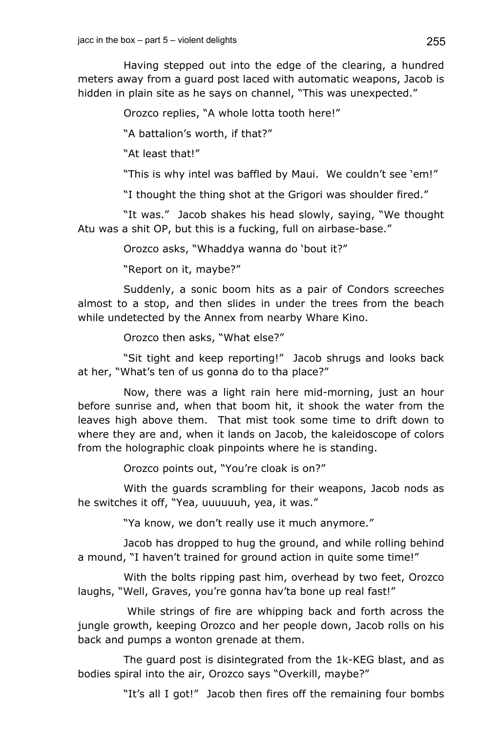Having stepped out into the edge of the clearing, a hundred meters away from a guard post laced with automatic weapons, Jacob is hidden in plain site as he says on channel, "This was unexpected."

Orozco replies, "A whole lotta tooth here!"

"A battalion's worth, if that?"

"At least that!"

"This is why intel was baffled by Maui. We couldn't see 'em!"

"I thought the thing shot at the Grigori was shoulder fired."

"It was." Jacob shakes his head slowly, saying, "We thought Atu was a shit OP, but this is a fucking, full on airbase-base."

Orozco asks, "Whaddya wanna do 'bout it?"

"Report on it, maybe?"

Suddenly, a sonic boom hits as a pair of Condors screeches almost to a stop, and then slides in under the trees from the beach while undetected by the Annex from nearby Whare Kino.

Orozco then asks, "What else?"

"Sit tight and keep reporting!" Jacob shrugs and looks back at her, "What's ten of us gonna do to tha place?"

Now, there was a light rain here mid-morning, just an hour before sunrise and, when that boom hit, it shook the water from the leaves high above them. That mist took some time to drift down to where they are and, when it lands on Jacob, the kaleidoscope of colors from the holographic cloak pinpoints where he is standing.

Orozco points out, "You're cloak is on?"

With the guards scrambling for their weapons, Jacob nods as he switches it off, "Yea, uuuuuuh, yea, it was."

"Ya know, we don't really use it much anymore."

Jacob has dropped to hug the ground, and while rolling behind a mound, "I haven't trained for ground action in quite some time!"

With the bolts ripping past him, overhead by two feet, Orozco laughs, "Well, Graves, you're gonna hav'ta bone up real fast!"

 While strings of fire are whipping back and forth across the jungle growth, keeping Orozco and her people down, Jacob rolls on his back and pumps a wonton grenade at them.

The guard post is disintegrated from the 1k-KEG blast, and as bodies spiral into the air, Orozco says "Overkill, maybe?"

"It's all I got!" Jacob then fires off the remaining four bombs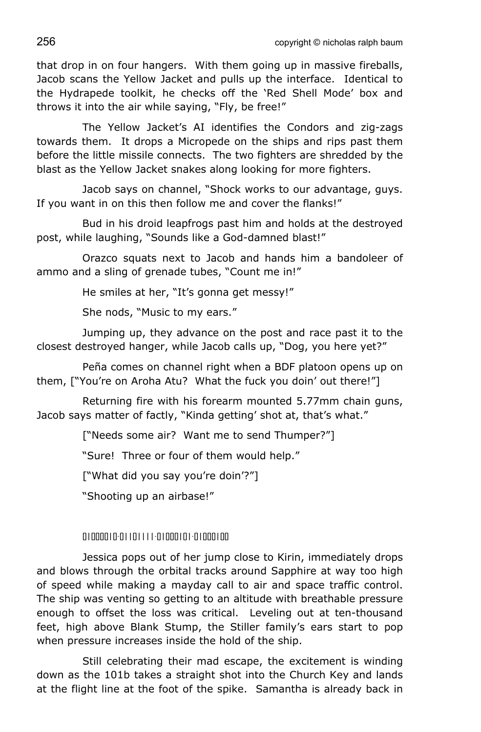256 copyright © nicholas ralph baum

that drop in on four hangers. With them going up in massive fireballs, Jacob scans the Yellow Jacket and pulls up the interface. Identical to the Hydrapede toolkit, he checks off the 'Red Shell Mode' box and throws it into the air while saying, "Fly, be free!"

The Yellow Jacket's AI identifies the Condors and zig-zags towards them. It drops a Micropede on the ships and rips past them before the little missile connects. The two fighters are shredded by the blast as the Yellow Jacket snakes along looking for more fighters.

Jacob says on channel, "Shock works to our advantage, guys. If you want in on this then follow me and cover the flanks!"

Bud in his droid leapfrogs past him and holds at the destroyed post, while laughing, "Sounds like a God-damned blast!"

Orazco squats next to Jacob and hands him a bandoleer of ammo and a sling of grenade tubes, "Count me in!"

He smiles at her, "It's gonna get messy!"

She nods, "Music to my ears."

Jumping up, they advance on the post and race past it to the closest destroyed hanger, while Jacob calls up, "Dog, you here yet?"

Peña comes on channel right when a BDF platoon opens up on them, ["You're on Aroha Atu? What the fuck you doin' out there!"]

Returning fire with his forearm mounted 5.77mm chain guns, Jacob says matter of factly, "Kinda getting' shot at, that's what."

["Needs some air? Want me to send Thumper?"]

"Sure! Three or four of them would help."

["What did you say you're doin'?"]

"Shooting up an airbase!"

# 01000010-01101111-01000101-01000100

Jessica pops out of her jump close to Kirin, immediately drops and blows through the orbital tracks around Sapphire at way too high of speed while making a mayday call to air and space traffic control. The ship was venting so getting to an altitude with breathable pressure enough to offset the loss was critical. Leveling out at ten-thousand feet, high above Blank Stump, the Stiller family's ears start to pop when pressure increases inside the hold of the ship.

Still celebrating their mad escape, the excitement is winding down as the 101b takes a straight shot into the Church Key and lands at the flight line at the foot of the spike. Samantha is already back in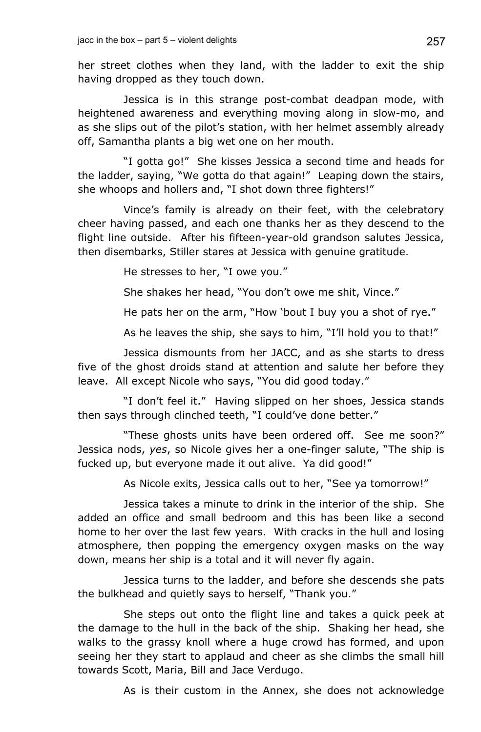her street clothes when they land, with the ladder to exit the ship having dropped as they touch down.

Jessica is in this strange post-combat deadpan mode, with heightened awareness and everything moving along in slow-mo, and as she slips out of the pilot's station, with her helmet assembly already off, Samantha plants a big wet one on her mouth.

"I gotta go!" She kisses Jessica a second time and heads for the ladder, saying, "We gotta do that again!" Leaping down the stairs, she whoops and hollers and, "I shot down three fighters!"

Vince's family is already on their feet, with the celebratory cheer having passed, and each one thanks her as they descend to the flight line outside. After his fifteen-year-old grandson salutes Jessica, then disembarks, Stiller stares at Jessica with genuine gratitude.

He stresses to her, "I owe you."

She shakes her head, "You don't owe me shit, Vince."

He pats her on the arm, "How 'bout I buy you a shot of rye."

As he leaves the ship, she says to him, "I'll hold you to that!"

Jessica dismounts from her JACC, and as she starts to dress five of the ghost droids stand at attention and salute her before they leave. All except Nicole who says, "You did good today."

"I don't feel it." Having slipped on her shoes, Jessica stands then says through clinched teeth, "I could've done better."

"These ghosts units have been ordered off. See me soon?" Jessica nods, *yes*, so Nicole gives her a one-finger salute, "The ship is fucked up, but everyone made it out alive. Ya did good!"

As Nicole exits, Jessica calls out to her, "See ya tomorrow!"

Jessica takes a minute to drink in the interior of the ship. She added an office and small bedroom and this has been like a second home to her over the last few years. With cracks in the hull and losing atmosphere, then popping the emergency oxygen masks on the way down, means her ship is a total and it will never fly again.

Jessica turns to the ladder, and before she descends she pats the bulkhead and quietly says to herself, "Thank you."

She steps out onto the flight line and takes a quick peek at the damage to the hull in the back of the ship. Shaking her head, she walks to the grassy knoll where a huge crowd has formed, and upon seeing her they start to applaud and cheer as she climbs the small hill towards Scott, Maria, Bill and Jace Verdugo.

As is their custom in the Annex, she does not acknowledge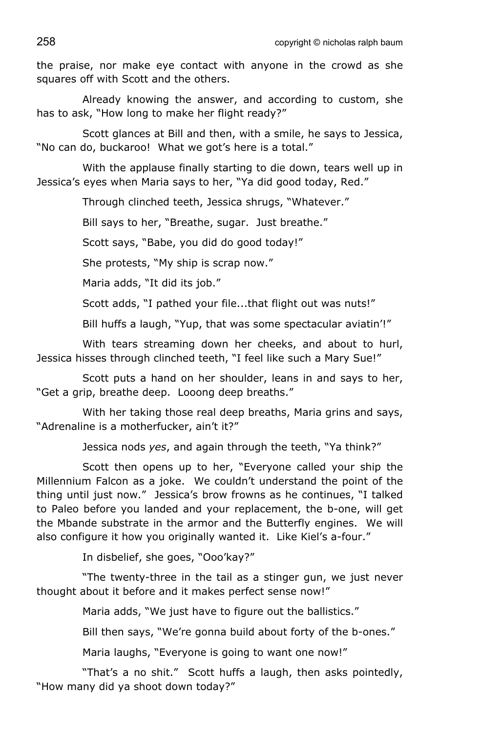the praise, nor make eye contact with anyone in the crowd as she squares off with Scott and the others.

Already knowing the answer, and according to custom, she has to ask, "How long to make her flight ready?"

Scott glances at Bill and then, with a smile, he says to Jessica, "No can do, buckaroo! What we got's here is a total."

With the applause finally starting to die down, tears well up in Jessica's eyes when Maria says to her, "Ya did good today, Red."

Through clinched teeth, Jessica shrugs, "Whatever."

Bill says to her, "Breathe, sugar. Just breathe."

Scott says, "Babe, you did do good today!"

She protests, "My ship is scrap now."

Maria adds, "It did its job."

Scott adds, "I pathed your file...that flight out was nuts!"

Bill huffs a laugh, "Yup, that was some spectacular aviatin'!"

With tears streaming down her cheeks, and about to hurl, Jessica hisses through clinched teeth, "I feel like such a Mary Sue!"

Scott puts a hand on her shoulder, leans in and says to her, "Get a grip, breathe deep. Looong deep breaths."

With her taking those real deep breaths, Maria grins and says, "Adrenaline is a motherfucker, ain't it?"

Jessica nods *yes*, and again through the teeth, "Ya think?"

Scott then opens up to her, "Everyone called your ship the Millennium Falcon as a joke. We couldn't understand the point of the thing until just now." Jessica's brow frowns as he continues, "I talked to Paleo before you landed and your replacement, the b-one, will get the Mbande substrate in the armor and the Butterfly engines. We will also configure it how you originally wanted it. Like Kiel's a-four."

In disbelief, she goes, "Ooo'kay?"

"The twenty-three in the tail as a stinger gun, we just never thought about it before and it makes perfect sense now!"

Maria adds, "We just have to figure out the ballistics."

Bill then says, "We're gonna build about forty of the b-ones."

Maria laughs, "Everyone is going to want one now!"

"That's a no shit." Scott huffs a laugh, then asks pointedly, "How many did ya shoot down today?"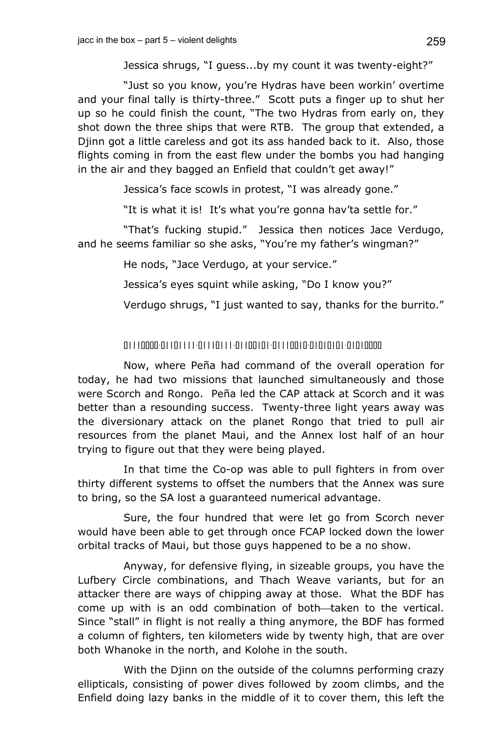Jessica shrugs, "I guess...by my count it was twenty-eight?"

"Just so you know, you're Hydras have been workin' overtime and your final tally is thirty-three." Scott puts a finger up to shut her up so he could finish the count, "The two Hydras from early on, they shot down the three ships that were RTB. The group that extended, a Djinn got a little careless and got its ass handed back to it. Also, those flights coming in from the east flew under the bombs you had hanging in the air and they bagged an Enfield that couldn't get away!"

Jessica's face scowls in protest, "I was already gone."

"It is what it is! It's what you're gonna hav'ta settle for."

"That's fucking stupid." Jessica then notices Jace Verdugo, and he seems familiar so she asks, "You're my father's wingman?"

He nods, "Jace Verdugo, at your service."

Jessica's eyes squint while asking, "Do I know you?"

Verdugo shrugs, "I just wanted to say, thanks for the burrito."

# 01110000-01101111-01110111-01100101-01110010-01010101-01010000

Now, where Peña had command of the overall operation for today, he had two missions that launched simultaneously and those were Scorch and Rongo. Peña led the CAP attack at Scorch and it was better than a resounding success. Twenty-three light years away was the diversionary attack on the planet Rongo that tried to pull air resources from the planet Maui, and the Annex lost half of an hour trying to figure out that they were being played.

In that time the Co-op was able to pull fighters in from over thirty different systems to offset the numbers that the Annex was sure to bring, so the SA lost a guaranteed numerical advantage.

Sure, the four hundred that were let go from Scorch never would have been able to get through once FCAP locked down the lower orbital tracks of Maui, but those guys happened to be a no show.

Anyway, for defensive flying, in sizeable groups, you have the Lufbery Circle combinations, and Thach Weave variants, but for an attacker there are ways of chipping away at those. What the BDF has come up with is an odd combination of both—taken to the vertical. Since "stall" in flight is not really a thing anymore, the BDF has formed a column of fighters, ten kilometers wide by twenty high, that are over both Whanoke in the north, and Kolohe in the south.

With the Diinn on the outside of the columns performing crazy ellipticals, consisting of power dives followed by zoom climbs, and the Enfield doing lazy banks in the middle of it to cover them, this left the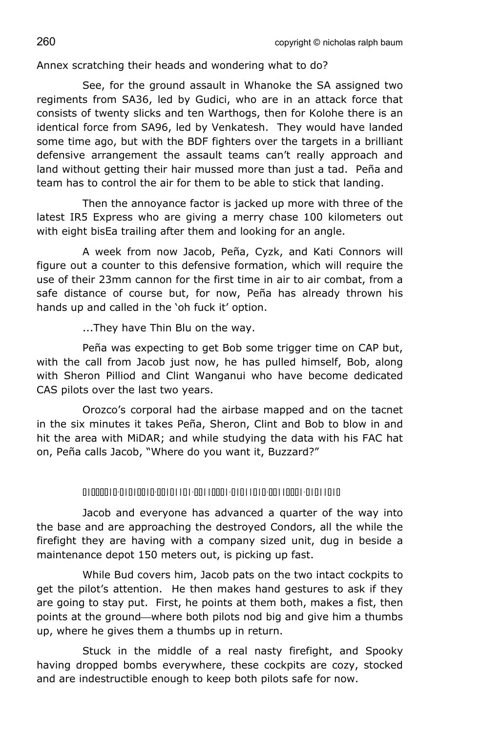Annex scratching their heads and wondering what to do?

See, for the ground assault in Whanoke the SA assigned two regiments from SA36, led by Gudici, who are in an attack force that consists of twenty slicks and ten Warthogs, then for Kolohe there is an identical force from SA96, led by Venkatesh. They would have landed some time ago, but with the BDF fighters over the targets in a brilliant defensive arrangement the assault teams can't really approach and land without getting their hair mussed more than just a tad. Peña and team has to control the air for them to be able to stick that landing.

Then the annoyance factor is jacked up more with three of the latest IR5 Express who are giving a merry chase 100 kilometers out with eight bisEa trailing after them and looking for an angle.

A week from now Jacob, Peña, Cyzk, and Kati Connors will figure out a counter to this defensive formation, which will require the use of their 23mm cannon for the first time in air to air combat, from a safe distance of course but, for now, Peña has already thrown his hands up and called in the 'oh fuck it' option.

...They have Thin Blu on the way.

Peña was expecting to get Bob some trigger time on CAP but, with the call from Jacob just now, he has pulled himself, Bob, along with Sheron Pilliod and Clint Wanganui who have become dedicated CAS pilots over the last two years.

Orozco's corporal had the airbase mapped and on the tacnet in the six minutes it takes Peña, Sheron, Clint and Bob to blow in and hit the area with MiDAR; and while studying the data with his FAC hat on, Peña calls Jacob, "Where do you want it, Buzzard?"

### 01000010-01010010-00101101-00110001-01011010-00110001-01011010

Jacob and everyone has advanced a quarter of the way into the base and are approaching the destroyed Condors, all the while the firefight they are having with a company sized unit, dug in beside a maintenance depot 150 meters out, is picking up fast.

While Bud covers him, Jacob pats on the two intact cockpits to get the pilot's attention. He then makes hand gestures to ask if they are going to stay put. First, he points at them both, makes a fist, then points at the ground—where both pilots nod big and give him a thumbs up, where he gives them a thumbs up in return.

Stuck in the middle of a real nasty firefight, and Spooky having dropped bombs everywhere, these cockpits are cozy, stocked and are indestructible enough to keep both pilots safe for now.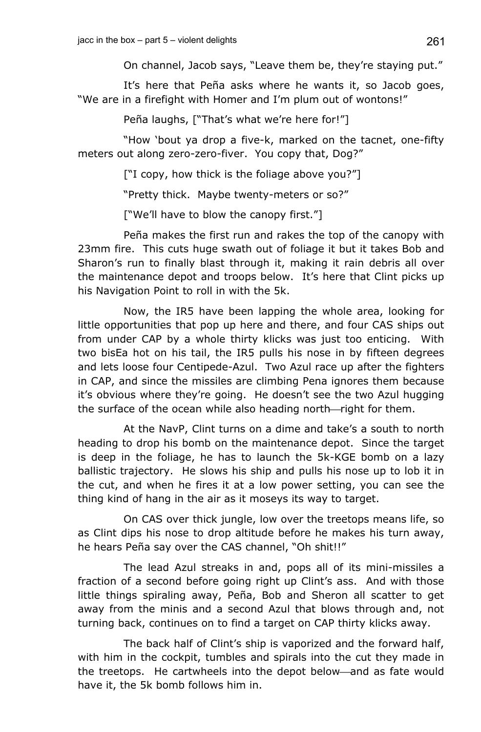On channel, Jacob says, "Leave them be, they're staying put."

It's here that Peña asks where he wants it, so Jacob goes, "We are in a firefight with Homer and I'm plum out of wontons!"

Peña laughs, ["That's what we're here for!"]

"How 'bout ya drop a five-k, marked on the tacnet, one-fifty meters out along zero-zero-fiver. You copy that, Dog?"

["I copy, how thick is the foliage above you?"]

"Pretty thick. Maybe twenty-meters or so?"

["We'll have to blow the canopy first."]

Peña makes the first run and rakes the top of the canopy with 23mm fire. This cuts huge swath out of foliage it but it takes Bob and Sharon's run to finally blast through it, making it rain debris all over the maintenance depot and troops below. It's here that Clint picks up his Navigation Point to roll in with the 5k.

Now, the IR5 have been lapping the whole area, looking for little opportunities that pop up here and there, and four CAS ships out from under CAP by a whole thirty klicks was just too enticing. With two bisEa hot on his tail, the IR5 pulls his nose in by fifteen degrees and lets loose four Centipede-Azul. Two Azul race up after the fighters in CAP, and since the missiles are climbing Pena ignores them because it's obvious where they're going. He doesn't see the two Azul hugging the surface of the ocean while also heading north—right for them.

At the NavP, Clint turns on a dime and take's a south to north heading to drop his bomb on the maintenance depot. Since the target is deep in the foliage, he has to launch the 5k-KGE bomb on a lazy ballistic trajectory. He slows his ship and pulls his nose up to lob it in the cut, and when he fires it at a low power setting, you can see the thing kind of hang in the air as it moseys its way to target.

On CAS over thick jungle, low over the treetops means life, so as Clint dips his nose to drop altitude before he makes his turn away, he hears Peña say over the CAS channel, "Oh shit!!"

The lead Azul streaks in and, pops all of its mini-missiles a fraction of a second before going right up Clint's ass. And with those little things spiraling away, Peña, Bob and Sheron all scatter to get away from the minis and a second Azul that blows through and, not turning back, continues on to find a target on CAP thirty klicks away.

The back half of Clint's ship is vaporized and the forward half, with him in the cockpit, tumbles and spirals into the cut they made in the treetops. He cartwheels into the depot below—and as fate would have it, the 5k bomb follows him in.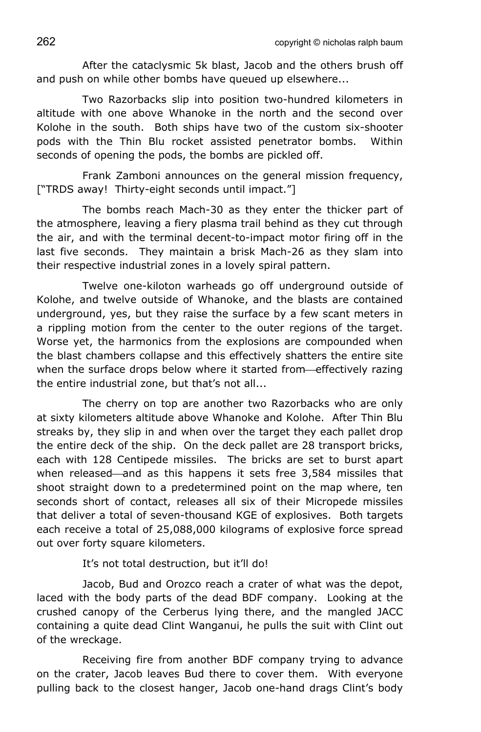After the cataclysmic 5k blast, Jacob and the others brush off and push on while other bombs have queued up elsewhere...

Two Razorbacks slip into position two-hundred kilometers in altitude with one above Whanoke in the north and the second over Kolohe in the south. Both ships have two of the custom six-shooter pods with the Thin Blu rocket assisted penetrator bombs. Within seconds of opening the pods, the bombs are pickled off.

Frank Zamboni announces on the general mission frequency, ["TRDS away! Thirty-eight seconds until impact."]

The bombs reach Mach-30 as they enter the thicker part of the atmosphere, leaving a fiery plasma trail behind as they cut through the air, and with the terminal decent-to-impact motor firing off in the last five seconds. They maintain a brisk Mach-26 as they slam into their respective industrial zones in a lovely spiral pattern.

Twelve one-kiloton warheads go off underground outside of Kolohe, and twelve outside of Whanoke, and the blasts are contained underground, yes, but they raise the surface by a few scant meters in a rippling motion from the center to the outer regions of the target. Worse yet, the harmonics from the explosions are compounded when the blast chambers collapse and this effectively shatters the entire site when the surface drops below where it started from—effectively razing the entire industrial zone, but that's not all...

The cherry on top are another two Razorbacks who are only at sixty kilometers altitude above Whanoke and Kolohe. After Thin Blu streaks by, they slip in and when over the target they each pallet drop the entire deck of the ship. On the deck pallet are 28 transport bricks, each with 128 Centipede missiles. The bricks are set to burst apart when released—and as this happens it sets free 3,584 missiles that shoot straight down to a predetermined point on the map where, ten seconds short of contact, releases all six of their Micropede missiles that deliver a total of seven-thousand KGE of explosives. Both targets each receive a total of 25,088,000 kilograms of explosive force spread out over forty square kilometers.

It's not total destruction, but it'll do!

Jacob, Bud and Orozco reach a crater of what was the depot, laced with the body parts of the dead BDF company. Looking at the crushed canopy of the Cerberus lying there, and the mangled JACC containing a quite dead Clint Wanganui, he pulls the suit with Clint out of the wreckage.

Receiving fire from another BDF company trying to advance on the crater, Jacob leaves Bud there to cover them. With everyone pulling back to the closest hanger, Jacob one-hand drags Clint's body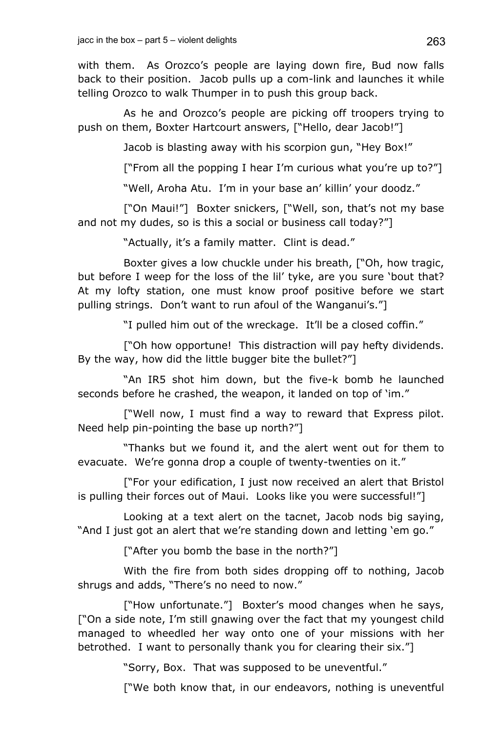with them. As Orozco's people are laying down fire, Bud now falls back to their position. Jacob pulls up a com-link and launches it while telling Orozco to walk Thumper in to push this group back.

As he and Orozco's people are picking off troopers trying to push on them, Boxter Hartcourt answers, ["Hello, dear Jacob!"]

Jacob is blasting away with his scorpion gun, "Hey Box!"

["From all the popping I hear I'm curious what you're up to?"]

"Well, Aroha Atu. I'm in your base an' killin' your doodz."

["On Maui!"] Boxter snickers, ["Well, son, that's not my base and not my dudes, so is this a social or business call today?"]

"Actually, it's a family matter. Clint is dead."

Boxter gives a low chuckle under his breath, ["Oh, how tragic, but before I weep for the loss of the lil' tyke, are you sure 'bout that? At my lofty station, one must know proof positive before we start pulling strings. Don't want to run afoul of the Wanganui's."]

"I pulled him out of the wreckage. It'll be a closed coffin."

["Oh how opportune! This distraction will pay hefty dividends. By the way, how did the little bugger bite the bullet?"]

"An IR5 shot him down, but the five-k bomb he launched seconds before he crashed, the weapon, it landed on top of 'im."

["Well now, I must find a way to reward that Express pilot. Need help pin-pointing the base up north?"]

"Thanks but we found it, and the alert went out for them to evacuate. We're gonna drop a couple of twenty-twenties on it."

["For your edification, I just now received an alert that Bristol is pulling their forces out of Maui. Looks like you were successful!"]

Looking at a text alert on the tacnet, Jacob nods big saying, "And I just got an alert that we're standing down and letting 'em go."

["After you bomb the base in the north?"]

With the fire from both sides dropping off to nothing, Jacob shrugs and adds, "There's no need to now."

["How unfortunate."] Boxter's mood changes when he says, ["On a side note, I'm still gnawing over the fact that my youngest child managed to wheedled her way onto one of your missions with her betrothed. I want to personally thank you for clearing their six."]

"Sorry, Box. That was supposed to be uneventful."

["We both know that, in our endeavors, nothing is uneventful